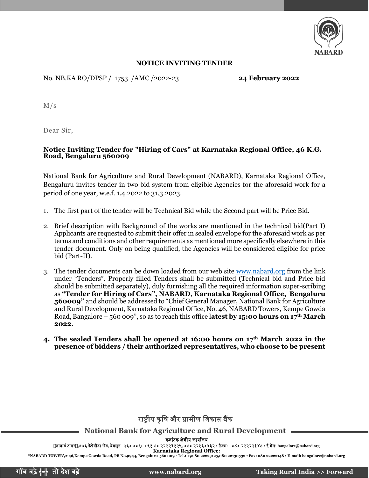

#### **NOTICE INVITING TENDER**

No. NB.KA RO/DPSP / 1753 /AMC /2022-23 **24 February 2022**

M/s

Dear Sir,

#### **Notice Inviting Tender for "Hiring of Cars" at Karnataka Regional Office, 46 K.G. Road, Bengaluru 560009**

National Bank for Agriculture and Rural Development (NABARD), Karnataka Regional Office, Bengaluru invites tender in two bid system from eligible Agencies for the aforesaid work for a period of one year, w.e.f. 1.4.2022 to 31.3.2023.

- 1. The first part of the tender will be Technical Bid while the Second part will be Price Bid.
- 2. Brief description with Background of the works are mentioned in the technical bid(Part I) Applicants are requested to submit their offer in sealed envelope for the aforesaid work as per terms and conditions and other requirements as mentioned more specifically elsewhere in this tender document. Only on being qualified, the Agencies will be considered eligible for price bid (Part-II).
- 3. The tender documents can be down loaded from our web site [www.nabard.org](http://www.nabard.org/) from the link under "Tenders". Properly filled Tenders shall be submitted (Technical bid and Price bid should be submitted separately), duly furnishing all the required information super-scribing as **"Tender for Hiring of Cars", NABARD, Karnataka Regional Office, Bengaluru 560009"** and should be addressed to "Chief General Manager, National Bank for Agriculture and Rural Development, Karnataka Regional Office, No. 46, NABARD Towers, Kempe Gowda Road, Bangalore – 560 009", so as to reach this office l**atest by 15:00 hours on 17th March 2022***.*
- **4. The sealed Tenders shall be opened at 16:00 hours on 17th March 2022 in the presence of bidders / their authorized representatives, who choose to be present**

## राष्टीय कृषि और ग्रामीण विकास बैंक

**National Bank for Agriculture and Rural Development**

कर्ााटक क्षेत्रीय कायाालय

र्ाबार्ा टािर,#४६ केंपेगौर्ा रोर्, बेंगलुरु- ५६० ००९**:** <sup>+</sup>९१ ८० २२२२३१२५, ०८० २२१३०५३२ • फ़ै क्स: +०८० २२२२२१४८ • <sup>ई</sup> मेल: **[bangalore@nabard.org](mailto:bangalore@nabard.org)**

**Karnataka Regional Office: "NABARD TOWER',# 46,Kempe Gowda Road, PB No.9944, Bengaluru-560 009** • **Tel.: +91 80 22223125,080 22130532 • Fax: 080 22222148 • E-mail: bangalore@nabard.org**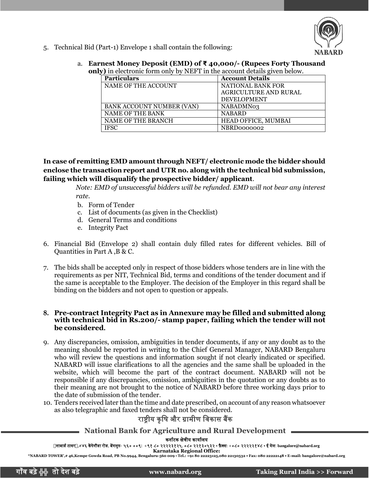

- 5. Technical Bid (Part-1) Envelope 1 shall contain the following:
	- a. **Earnest Money Deposit (EMD) of ₹ 40,000/- (Rupees Forty Thousand only)** in electronic form only by NEFT in the account details given below.

| <b>Particulars</b>        | <b>Account Details</b> |
|---------------------------|------------------------|
| NAME OF THE ACCOUNT       | NATIONAL BANK FOR      |
|                           | AGRICULTURE AND RURAL  |
|                           | <b>DEVELOPMENT</b>     |
| BANK ACCOUNT NUMBER (VAN) | NABADMN03              |
| NAME OF THE BANK          | <b>NABARD</b>          |
| NAME OF THE BRANCH        | HEAD OFFICE, MUMBAI    |
| <b>IFSC</b>               | NBRD0000002            |

**In case of remitting EMD amount through NEFT/ electronic mode the bidder should enclose the transaction report and UTR no. along with the technical bid submission, failing which will disqualify the prospective bidder/ applicant**.

> *Note: EMD of unsuccessful bidders will be refunded. EMD will not bear any interest rate*.

- b. Form of Tender
- c. List of documents (as given in the Checklist)
- d. General Terms and conditions
- e. Integrity Pact
- 6. Financial Bid (Envelope 2) shall contain duly filled rates for different vehicles. Bill of Quantities in Part A ,B & C.
- 7. The bids shall be accepted only in respect of those bidders whose tenders are in line with the requirements as per NIT, Technical Bid, terms and conditions of the tender document and if the same is acceptable to the Employer. The decision of the Employer in this regard shall be binding on the bidders and not open to question or appeals.

#### **8. Pre-contract Integrity Pact as in Annexure may be filled and submitted along with technical bid in Rs.200/- stamp paper, failing which the tender will not be considered.**

- 9. Any discrepancies, omission, ambiguities in tender documents, if any or any doubt as to the meaning should be reported in writing to the Chief General Manager, NABARD Bengaluru who will review the questions and information sought if not clearly indicated or specified. NABARD will issue clarifications to all the agencies and the same shall be uploaded in the website, which will become the part of the contract document. NABARD will not be responsible if any discrepancies, omission, ambiguities in the quotation or any doubts as to their meaning are not brought to the notice of NABARD before three working days prior to the date of submission of the tender.
- 10. Tenders received later than the time and date prescribed, on account of any reason whatsoever as also telegraphic and faxed tenders shall not be considered.

## राष्ट्रीय कृषि और ग्रामीण विकास बैंक

### **National Bank for Agriculture and Rural Development**

कर्ााटक क्षेत्रीय कायाालय

र्ाबार्ा टािर,#४६ केंपेगौर्ा रोर्, बेंगलुरु- ५६० ००९**:** <sup>+</sup>९१ ८० २२२२३१२५, ०८० २२१३०५३२ • फ़ै क्स: +०८० २२२२२१४८ • <sup>ई</sup> मेल: **[bangalore@nabard.org](mailto:bangalore@nabard.org)**

**Karnataka Regional Office: "NABARD TOWER',# 46,Kempe Gowda Road, PB No.9944, Bengaluru-560 009** • **Tel.: +91 80 22223125,080 22130532 • Fax: 080 22222148 • E-mail: bangalore@nabard.org**